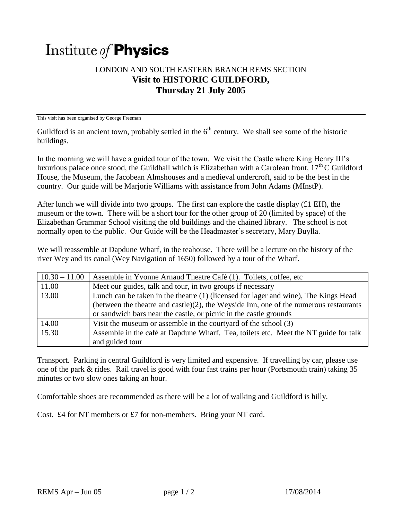## Institute of **Physics**

## LONDON AND SOUTH EASTERN BRANCH REMS SECTION **Visit to HISTORIC GUILDFORD, Thursday 21 July 2005**

This visit has been organised by George Freeman

Guildford is an ancient town, probably settled in the  $6<sup>th</sup>$  century. We shall see some of the historic buildings.

In the morning we will have a guided tour of the town. We visit the Castle where King Henry III's luxurious palace once stood, the Guildhall which is Elizabethan with a Carolean front,  $17<sup>th</sup>$ C Guildford House, the Museum, the Jacobean Almshouses and a medieval undercroft, said to be the best in the country. Our guide will be Marjorie Williams with assistance from John Adams (MInstP).

After lunch we will divide into two groups. The first can explore the castle display  $(£1 EH)$ , the museum or the town. There will be a short tour for the other group of 20 (limited by space) of the Elizabethan Grammar School visiting the old buildings and the chained library. The school is not normally open to the public. Our Guide will be the Headmaster's secretary, Mary Buylla.

We will reassemble at Dapdune Wharf, in the teahouse. There will be a lecture on the history of the river Wey and its canal (Wey Navigation of 1650) followed by a tour of the Wharf.

| $10.30 - 11.00$ | Assemble in Yvonne Arnaud Theatre Café (1). Toilets, coffee, etc.                         |
|-----------------|-------------------------------------------------------------------------------------------|
| 11.00           | Meet our guides, talk and tour, in two groups if necessary                                |
| 13.00           | Lunch can be taken in the theatre (1) (licensed for lager and wine), The Kings Head       |
|                 | (between the theatre and castle) $(2)$ , the Weyside Inn, one of the numerous restaurants |
|                 | or sandwich bars near the castle, or picnic in the castle grounds                         |
| 14.00           | Visit the museum or assemble in the courty and of the school (3)                          |
| 15.30           | Assemble in the café at Dapdune Wharf. Tea, toilets etc. Meet the NT guide for talk       |
|                 | and guided tour                                                                           |

Transport. Parking in central Guildford is very limited and expensive. If travelling by car, please use one of the park & rides. Rail travel is good with four fast trains per hour (Portsmouth train) taking 35 minutes or two slow ones taking an hour.

Comfortable shoes are recommended as there will be a lot of walking and Guildford is hilly.

Cost. £4 for NT members or £7 for non-members. Bring your NT card.